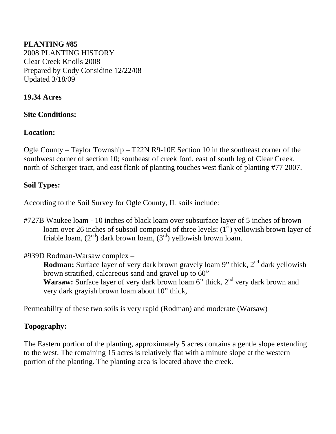#### **PLANTING #85**  2008 PLANTING HISTORY Clear Creek Knolls 2008 Prepared by Cody Considine 12/22/08 Updated 3/18/09

#### **19.34 Acres**

#### **Site Conditions:**

#### **Location:**

Ogle County – Taylor Township – T22N R9-10E Section 10 in the southeast corner of the southwest corner of section 10; southeast of creek ford, east of south leg of Clear Creek, north of Scherger tract, and east flank of planting touches west flank of planting #77 2007.

#### **Soil Types:**

According to the Soil Survey for Ogle County, IL soils include:

#727B Waukee loam - 10 inches of black loam over subsurface layer of 5 inches of brown loam over 26 inches of subsoil composed of three levels:  $(1<sup>st</sup>)$  vellowish brown layer of friable loam,  $(2<sup>nd</sup>)$  dark brown loam,  $(3<sup>rd</sup>)$  yellowish brown loam.

#### #939D Rodman-Warsaw complex –

**Rodman:** Surface layer of very dark brown gravely loam 9" thick, 2<sup>nd</sup> dark yellowish brown stratified, calcareous sand and gravel up to 60" **Warsaw:** Surface layer of very dark brown loam 6" thick, 2<sup>nd</sup> very dark brown and very dark grayish brown loam about 10" thick,

Permeability of these two soils is very rapid (Rodman) and moderate (Warsaw)

#### **Topography:**

The Eastern portion of the planting, approximately 5 acres contains a gentle slope extending to the west. The remaining 15 acres is relatively flat with a minute slope at the western portion of the planting. The planting area is located above the creek.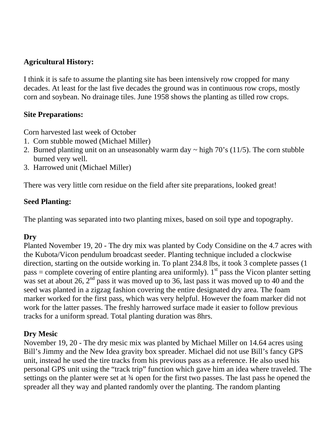### **Agricultural History:**

I think it is safe to assume the planting site has been intensively row cropped for many decades. At least for the last five decades the ground was in continuous row crops, mostly corn and soybean. No drainage tiles. June 1958 shows the planting as tilled row crops.

#### **Site Preparations:**

Corn harvested last week of October

- 1. Corn stubble mowed (Michael Miller)
- 2. Burned planting unit on an unseasonably warm day  $\sim$  high 70's (11/5). The corn stubble burned very well.
- 3. Harrowed unit (Michael Miller)

There was very little corn residue on the field after site preparations, looked great!

### **Seed Planting:**

The planting was separated into two planting mixes, based on soil type and topography.

#### **Dry**

Planted November 19, 20 - The dry mix was planted by Cody Considine on the 4.7 acres with the Kubota/Vicon pendulum broadcast seeder. Planting technique included a clockwise direction, starting on the outside working in. To plant 234.8 lbs, it took 3 complete passes (1 pass = complete covering of entire planting area uniformly). 1<sup>st</sup> pass the Vicon planter setting was set at about 26,  $2<sup>nd</sup>$  pass it was moved up to 36, last pass it was moved up to 40 and the seed was planted in a zigzag fashion covering the entire designated dry area. The foam marker worked for the first pass, which was very helpful. However the foam marker did not work for the latter passes. The freshly harrowed surface made it easier to follow previous tracks for a uniform spread. Total planting duration was 8hrs.

#### **Dry Mesic**

November 19, 20 - The dry mesic mix was planted by Michael Miller on 14.64 acres using Bill's Jimmy and the New Idea gravity box spreader. Michael did not use Bill's fancy GPS unit, instead he used the tire tracks from his previous pass as a reference. He also used his personal GPS unit using the "track trip" function which gave him an idea where traveled. The settings on the planter were set at  $\frac{3}{4}$  open for the first two passes. The last pass he opened the spreader all they way and planted randomly over the planting. The random planting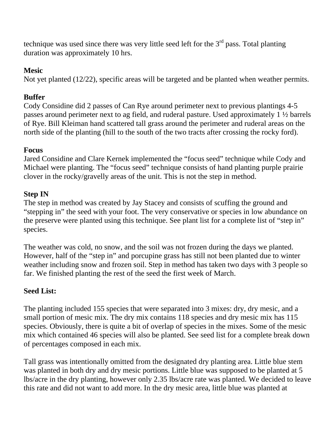technique was used since there was very little seed left for the  $3<sup>rd</sup>$  pass. Total planting duration was approximately 10 hrs.

### **Mesic**

Not yet planted (12/22), specific areas will be targeted and be planted when weather permits.

# **Buffer**

Cody Considine did 2 passes of Can Rye around perimeter next to previous plantings 4-5 passes around perimeter next to ag field, and ruderal pasture. Used approximately 1 ½ barrels of Rye. Bill Kleiman hand scattered tall grass around the perimeter and ruderal areas on the north side of the planting (hill to the south of the two tracts after crossing the rocky ford).

# **Focus**

Jared Considine and Clare Kernek implemented the "focus seed" technique while Cody and Michael were planting. The "focus seed" technique consists of hand planting purple prairie clover in the rocky/gravelly areas of the unit. This is not the step in method.

# **Step IN**

The step in method was created by Jay Stacey and consists of scuffing the ground and "stepping in" the seed with your foot. The very conservative or species in low abundance on the preserve were planted using this technique. See plant list for a complete list of "step in" species.

The weather was cold, no snow, and the soil was not frozen during the days we planted. However, half of the "step in" and porcupine grass has still not been planted due to winter weather including snow and frozen soil. Step in method has taken two days with 3 people so far. We finished planting the rest of the seed the first week of March.

# **Seed List:**

The planting included 155 species that were separated into 3 mixes: dry, dry mesic, and a small portion of mesic mix. The dry mix contains 118 species and dry mesic mix has 115 species. Obviously, there is quite a bit of overlap of species in the mixes. Some of the mesic mix which contained 46 species will also be planted. See seed list for a complete break down of percentages composed in each mix.

Tall grass was intentionally omitted from the designated dry planting area. Little blue stem was planted in both dry and dry mesic portions. Little blue was supposed to be planted at 5 lbs/acre in the dry planting, however only 2.35 lbs/acre rate was planted. We decided to leave this rate and did not want to add more. In the dry mesic area, little blue was planted at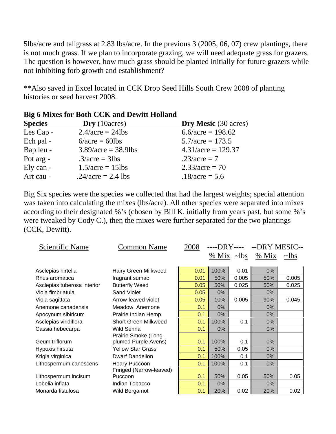5lbs/acre and tallgrass at 2.83 lbs/acre. In the previous 3 (2005, 06, 07) crew plantings, there is not much grass. If we plan to incorporate grazing, we will need adequate grass for grazers. The question is however, how much grass should be planted initially for future grazers while not inhibiting forb growth and establishment?

\*\*Also saved in Excel located in CCK Drop Seed Hills South Crew 2008 of planting histories or seed harvest 2008.

| <b>Species</b> | $\mathbf{Dry}$ (10 acres) | Dry Mesic (30 acres)       |
|----------------|---------------------------|----------------------------|
| Les Cap -      | $2.4/acre = 24lbs$        | $6.6/\text{acre} = 198.62$ |
| Ech pal -      | $6/acre = 60lbs$          | $5.7/acre = 173.5$         |
| Bap leu -      | $3.89/acre = 38.9 lbs$    | $4.31/acre = 129.37$       |
| Pot arg -      | $.3/acre = 3lbs$          | $.23/acre = 7$             |
| Ely can -      | $1.5/acre = 15 lbs$       | $2.33/acre = 70$           |
| Art cau -      | .24/acre = 2.4 lbs        | $.18/acre = 5.6$           |

#### **Big 6 Mixes for Both CCK and Dewitt Holland**

Big Six species were the species we collected that had the largest weights; special attention was taken into calculating the mixes (lbs/acre). All other species were separated into mixes according to their designated %'s (chosen by Bill K. initially from years past, but some %'s were tweaked by Cody C.), then the mixes were further separated for the two plantings (CCK, Dewitt).

| Scientific Name             | <b>Common Name</b>          | 2008 |      | ----DRY---- --DRY MESIC-- |                        |            |
|-----------------------------|-----------------------------|------|------|---------------------------|------------------------|------------|
|                             |                             |      |      |                           | % Mix $\sim$ lbs % Mix | $\sim$ lbs |
|                             |                             |      |      |                           |                        |            |
| Asclepias hirtella          | Hairy Green Milkweed        | 0.01 | 100% | 0.01                      | 0%                     |            |
| Rhus aromatica              | fragrant sumac              | 0.01 | 50%  | 0.005                     | 50%                    | 0.005      |
| Asclepias tuberosa interior | <b>Butterfly Weed</b>       | 0.05 | 50%  | 0.025                     | 50%                    | 0.025      |
| Viola fimbriatula           | <b>Sand Violet</b>          | 0.05 | 0%   |                           | 0%                     |            |
| Viola sagittata             | Arrow-leaved violet         | 0.05 | 10%  | 0.005                     | 90%                    | 0.045      |
| Anemone canadensis          | Meadow Anemone              | 0.1  | 0%   |                           | 0%                     |            |
| Apocynum sibiricum          | Prairie Indian Hemp         | 0.1  | 0%   |                           | 0%                     |            |
| Asclepias viridiflora       | <b>Short Green Milkweed</b> | 0.1  | 100% | 0.1                       | 0%                     |            |
| Cassia hebecarpa            | <b>Wild Senna</b>           | 0.1  | 0%   |                           | 0%                     |            |
|                             | Prairie Smoke (Long-        |      |      |                           |                        |            |
| Geum triflorum              | plumed Purple Avens)        | 0.1  | 100% | 0.1                       | 0%                     |            |
| Hypoxis hirsuta             | <b>Yellow Star Grass</b>    | 0.1  | 50%  | 0.05                      | 0%                     |            |
| Krigia virginica            | <b>Dwarf Dandelion</b>      | 0.1  | 100% | 0.1                       | 0%                     |            |
| Lithospermum canescens      | Hoary Puccoon               | 0.1  | 100% | 0.1                       | 0%                     |            |
|                             | Fringed (Narrow-leaved)     |      |      |                           |                        |            |
| Lithospermum incisum        | Puccoon                     | 0.1  | 50%  | 0.05                      | 50%                    | 0.05       |
| Lobelia inflata             | Indian Tobacco              | 0.1  | 0%   |                           | 0%                     |            |
| Monarda fistulosa           | Wild Bergamot               | 0.1  | 20%  | 0.02                      | 20%                    | 0.02       |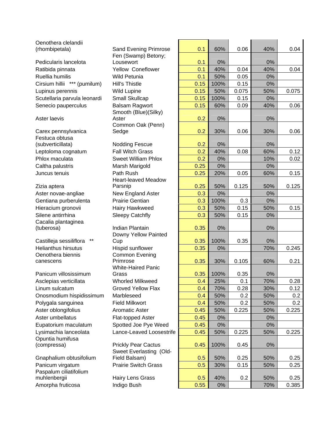| Oenothera clelandii                    |                                         |      |      |       |     |       |
|----------------------------------------|-----------------------------------------|------|------|-------|-----|-------|
| (rhombipetala)                         | Sand Evening Primrose                   | 0.1  | 60%  | 0.06  | 40% | 0.04  |
|                                        | Fen (Swamp) Betony;                     |      |      |       |     |       |
| Pedicularis lancelota                  | Lousewort                               | 0.1  | 0%   |       | 0%  |       |
| Ratibida pinnata                       | Yellow Coneflower                       | 0.1  | 40%  | 0.04  | 40% | 0.04  |
| Ruellia humilis                        | <b>Wild Petunia</b>                     | 0.1  | 50%  | 0.05  | 0%  |       |
| Cirsium hillii *** (pumilum)           | Hill's Thistle                          | 0.15 | 100% | 0.15  | 0%  |       |
| Lupinus perennis                       | <b>Wild Lupine</b>                      | 0.15 | 50%  | 0.075 | 50% | 0.075 |
| Scutellaria parvula leonardi           | Small Skullcap                          | 0.15 | 100% | 0.15  | 0%  |       |
| Senecio pauperculus                    | <b>Balsam Ragwort</b>                   | 0.15 | 60%  | 0.09  | 40% | 0.06  |
|                                        | Smooth (Blue)(Silky)                    |      |      |       |     |       |
| Aster laevis                           | Aster                                   | 0.2  | 0%   |       | 0%  |       |
|                                        | Common Oak (Penn)                       |      |      |       |     |       |
| Carex pennsylvanica<br>Festuca obtusa  | Sedge                                   | 0.2  | 30%  | 0.06  | 30% | 0.06  |
| (subverticillata)                      | <b>Nodding Fescue</b>                   | 0.2  | 0%   |       | 0%  |       |
| Leptoloma cognatum                     | <b>Fall Witch Grass</b>                 | 0.2  | 40%  | 0.08  | 60% | 0.12  |
| Phlox maculata                         | <b>Sweet William Phlox</b>              | 0.2  | 0%   |       | 10% | 0.02  |
|                                        |                                         | 0.25 | 0%   |       | 0%  |       |
| Caltha palustris                       | Marsh Marigold                          |      |      |       |     |       |
| Juncus tenuis                          | Path Rush<br><b>Heart-leaved Meadow</b> | 0.25 | 20%  | 0.05  | 60% | 0.15  |
| Zizia aptera                           | Parsnip                                 | 0.25 | 50%  | 0.125 | 50% | 0.125 |
| Aster novae-angliae                    | New England Aster                       | 0.3  | 0%   |       | 0%  |       |
| Gentiana purberulenta                  | <b>Prairie Gentian</b>                  | 0.3  | 100% | 0.3   | 0%  |       |
| Hieracium gronovii                     | Hairy Hawkweed                          | 0.3  | 50%  | 0.15  | 50% | 0.15  |
| Silene antirrhina                      | <b>Sleepy Catchfly</b>                  | 0.3  | 50%  | 0.15  | 0%  |       |
| Cacalia plantaginea                    |                                         |      |      |       |     |       |
| (tuberosa)                             | Indian Plantain                         | 0.35 | 0%   |       | 0%  |       |
|                                        | Downy Yellow Painted                    |      |      |       |     |       |
| $***$<br>Castilleja sessiliflora       | Cup                                     | 0.35 | 100% | 0.35  | 0%  |       |
| <b>Helianthus hirsutus</b>             | Hispid sunflower                        | 0.35 | 0%   |       | 70% | 0.245 |
| Oenothera biennis                      | <b>Common Evening</b>                   |      |      |       |     |       |
| canescens                              | Primrose                                | 0.35 | 30%  | 0.105 | 60% | 0.21  |
|                                        | <b>White-Haired Panic</b>               |      |      |       |     |       |
| Panicum villosissimum                  | Grass                                   | 0.35 | 100% | 0.35  | 0%  |       |
| Asclepias verticillata                 | <b>Whorled Milkweed</b>                 | 0.4  | 25%  | 0.1   | 70% | 0.28  |
| Linum sulcatum                         | <b>Groved Yellow Flax</b>               | 0.4  | 70%  | 0.28  | 30% | 0.12  |
| Onosmodium hispidissimum               | Marbleseed                              | 0.4  | 50%  | 0.2   | 50% | 0.2   |
| Polygala sanguinea                     | <b>Field Milkwort</b>                   | 0.4  | 50%  | 0.2   | 50% | 0.2   |
| Aster oblongifolius                    | <b>Aromatic Aster</b>                   | 0.45 | 50%  | 0.225 | 50% | 0.225 |
| Aster umbellatus                       | Flat-topped Aster                       | 0.45 | 0%   |       | 0%  |       |
| Eupatorium maculatum                   | Spotted Joe Pye Weed                    | 0.45 | 0%   |       | 0%  |       |
| Lysimachia lanceolata                  | Lance-Leaved Loosestrife                | 0.45 | 50%  | 0.225 | 50% | 0.225 |
| Opuntia humifusa                       |                                         |      |      |       |     |       |
| (compressa)                            | <b>Prickly Pear Cactus</b>              | 0.45 | 100% | 0.45  | 0%  |       |
|                                        | Sweet Everlasting (Old-                 |      |      |       |     |       |
| Gnaphalium obtusifolium                | Field Balsam)                           | 0.5  | 50%  | 0.25  | 50% | 0.25  |
| Panicum virgatum                       | <b>Prairie Switch Grass</b>             | 0.5  | 30%  | 0.15  | 50% | 0.25  |
| Paspalum ciliatifolium<br>muhlenbergii | Hairy Lens Grass                        | 0.5  | 40%  | 0.2   | 50% | 0.25  |
| Amorpha fruticosa                      | Indigo Bush                             | 0.55 | 0%   |       | 70% | 0.385 |
|                                        |                                         |      |      |       |     |       |

| <b>Sand Evening Primrose</b>             | 0.1  | 60%   | 0.06  | 40%   | 0.04  |
|------------------------------------------|------|-------|-------|-------|-------|
| Fen (Swamp) Betony;<br>Lousewort         | 0.1  | 0%    |       | 0%    |       |
| Yellow Coneflower                        | 0.1  | 40%   | 0.04  | 40%   | 0.04  |
| Wild Petunia                             | 0.1  | 50%   | 0.05  | 0%    |       |
| Hill's Thistle                           | 0.15 | 100%  | 0.15  | 0%    |       |
| <b>Wild Lupine</b>                       | 0.15 | 50%   | 0.075 | 50%   | 0.075 |
| Small Skullcap                           | 0.15 | 100%  | 0.15  | 0%    |       |
| <b>Balsam Ragwort</b>                    | 0.15 | 60%   | 0.09  | 40%   | 0.06  |
| Smooth (Blue)(Silky)                     |      |       |       |       |       |
| Aster                                    | 0.2  | 0%    |       | 0%    |       |
| Common Oak (Penn)                        |      |       |       |       |       |
| Sedge                                    | 0.2  | 30%   | 0.06  | 30%   | 0.06  |
| <b>Nodding Fescue</b>                    | 0.2  | 0%    |       | 0%    |       |
| <b>Fall Witch Grass</b>                  | 0.2  | 40%   | 0.08  | 60%   | 0.12  |
| <b>Sweet William Phlox</b>               | 0.2  | 0%    |       | 10%   | 0.02  |
| Marsh Marigold                           | 0.25 | 0%    |       | 0%    |       |
| Path Rush                                | 0.25 | 20%   | 0.05  | 60%   | 0.15  |
| <b>Heart-leaved Meadow</b>               |      |       |       |       |       |
| Parsnip                                  | 0.25 | 50%   | 0.125 | 50%   | 0.125 |
| New England Aster                        | 0.3  | 0%    |       | 0%    |       |
| Prairie Gentian                          | 0.3  | 100%  | 0.3   | $0\%$ |       |
| Hairy Hawkweed                           | 0.3  | 50%   | 0.15  | 50%   | 0.15  |
| <b>Sleepy Catchfly</b>                   | 0.3  | 50%   | 0.15  | 0%    |       |
| Indian Plantain                          | 0.35 | 0%    |       | 0%    |       |
| Downy Yellow Painted                     |      |       |       |       |       |
| Cup                                      | 0.35 | 100%  | 0.35  | $0\%$ |       |
| Hispid sunflower                         | 0.35 | 0%    |       | 70%   | 0.245 |
| Common Evening                           |      |       |       |       |       |
| Primrose                                 | 0.35 | 30%   | 0.105 | 60%   | 0.21  |
| <b>White-Haired Panic</b><br>Grass       | 0.35 | 100%  | 0.35  | $0\%$ |       |
| <b>Whorled Milkweed</b>                  | 0.4  | 25%   | 0.1   | 70%   | 0.28  |
| <b>Groved Yellow Flax</b>                | 0.4  | 70%   | 0.28  | 30%   | 0.12  |
| Marbleseed                               | 0.4  | 50%   | 0.2   | 50%   | 0.2   |
| <b>Field Milkwort</b>                    | 0.4  | 50%   | 0.2   | 50%   | 0.2   |
| <b>Aromatic Aster</b>                    | 0.45 | 50%   | 0.225 | 50%   | 0.225 |
| <b>Flat-topped Aster</b>                 | 0.45 | $0\%$ |       | 0%    |       |
| Spotted Joe Pye Weed                     | 0.45 | 0%    |       | 0%    |       |
| Lance-Leaved Loosestrife                 | 0.45 | 50%   | 0.225 | 50%   | 0.225 |
|                                          |      |       |       |       |       |
| <b>Prickly Pear Cactus</b>               | 0.45 | 100%  | 0.45  | 0%    |       |
| Sweet Everlasting (Old-<br>Field Balsam) | 0.5  | 50%   | 0.25  | 50%   | 0.25  |
| <b>Prairie Switch Grass</b>              | 0.5  | 30%   | 0.15  | 50%   | 0.25  |
|                                          |      |       |       |       |       |
| Hairy Lens Grass                         | 0.5  | 40%   | 0.2   | 50%   | 0.25  |
| Indigo Bush                              | 0.55 | 0%    |       | 70%   | 0.385 |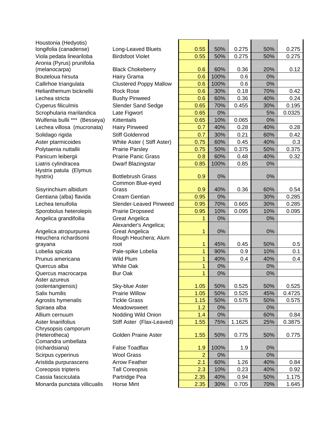| Houstonia (Hedyotis)          |                               |                |      |        |     |        |
|-------------------------------|-------------------------------|----------------|------|--------|-----|--------|
| longifolia (canadense)        | Long-Leaved Bluets            | 0.55           | 50%  | 0.275  | 50% | 0.275  |
| Viola pedata lineariloba      | <b>Birdsfoot Violet</b>       | 0.55           | 50%  | 0.275  | 50% | 0.275  |
| Aronia (Pyrus) prunifolia     |                               |                |      |        |     |        |
| (melanocarpa)                 | <b>Black Chokeberry</b>       | 0.6            | 60%  | 0.36   | 20% | 0.12   |
| Bouteloua hirsuta             | Hairy Grama                   | 0.6            | 100% | 0.6    | 0%  |        |
| Callirhoe triangulata         | <b>Clustered Poppy Mallow</b> | 0.6            | 100% | 0.6    | 0%  |        |
| Helianthemum bicknellii       | <b>Rock Rose</b>              | 0.6            | 30%  | 0.18   | 70% | 0.42   |
| Lechea stricta                | <b>Bushy Pinweed</b>          | 0.6            | 60%  | 0.36   | 40% | 0.24   |
| Cyperus filiculmis            | <b>Slender Sand Sedge</b>     | 0.65           | 70%  | 0.455  | 30% | 0.195  |
| Scrophularia marilandica      | Late Figwort                  | 0.65           | 0%   |        | 5%  | 0.0325 |
| Wulfenia bullii *** (Besseya) | <b>Kittentails</b>            | 0.65           | 10%  | 0.065  | 0%  |        |
| Lechea villosa (mucronata)    | <b>Hairy Pinweed</b>          | 0.7            | 40%  | 0.28   | 40% | 0.28   |
| Solidago rigida               | <b>Stiff Goldenrod</b>        | 0.7            | 30%  | 0.21   | 60% | 0.42   |
| Aster ptarmicoides            | White Aster (Stiff Aster)     | 0.75           | 60%  | 0.45   | 40% | 0.3    |
| Polytaenia nuttallii          | <b>Prairie Parsley</b>        | 0.75           | 50%  | 0.375  | 50% | 0.375  |
| Panicum leibergii             | <b>Prairie Panic Grass</b>    | 0.8            | 60%  | 0.48   | 40% | 0.32   |
| Liatris cylindracea           | Dwarf Blazingstar             | 0.85           | 100% | 0.85   | 0%  |        |
| Hystrix patula (Elymus        |                               |                |      |        |     |        |
| hystrix)                      | <b>Bottlebrush Grass</b>      | 0.9            | 0%   |        | 0%  |        |
|                               | Common Blue-eyed              |                |      |        |     |        |
| Sisyrinchium albidum          | Grass                         | 0.9            | 40%  | 0.36   | 60% | 0.54   |
| Gentiana (alba) flavida       | <b>Cream Gentian</b>          | 0.95           | 0%   |        | 30% | 0.285  |
| Lechea tenuifolia             | Slender-Leaved Pinweed        | 0.95           | 70%  | 0.665  | 30% | 0.285  |
| Sporobolus heterolepis        | <b>Prairie Dropseed</b>       | 0.95           | 10%  | 0.095  | 10% | 0.095  |
| Angelica grandifoilia         | <b>Great Angelica</b>         |                | 0%   |        | 0%  |        |
|                               | Alexander's Angelica;         |                |      |        |     |        |
| Angelica atropurpurea         | <b>Great Angelica</b>         | 1              | 0%   |        | 0%  |        |
| Heuchera richardsonii         | Rough Heuchera; Alum          |                |      |        |     |        |
| grayana                       | root                          | 1              | 45%  | 0.45   | 50% | 0.5    |
| Lobelia spicata               | Pale-spike Lobelia            | 1              | 90%  | 0.9    | 10% | 0.1    |
| Prunus americana              | Wild Plum                     | 1              | 40%  | 0.4    | 40% | 0.4    |
| Quercus alba                  | <b>White Oak</b>              | 1              | 0%   |        | 0%  |        |
| Quercus macrocarpa            | <b>Bur Oak</b>                | 1              | 0%   |        | 0%  |        |
| Aster azureus                 |                               |                |      |        |     |        |
| (oolentangiensis)             | Sky-blue Aster                | 1.05           | 50%  | 0.525  | 50% | 0.525  |
| Salix humilis                 | <b>Prairie Willow</b>         | 1.05           | 50%  | 0.525  | 45% | 0.4725 |
| Agrostis hymenalis            | <b>Tickle Grass</b>           | 1.15           | 50%  | 0.575  | 50% | 0.575  |
| Spiraea alba                  | Meadowsweet                   | 1.2            | 0%   |        | 0%  |        |
| Allium cernuum                | Nodding Wild Onion            | 1.4            | 0%   |        | 60% | 0.84   |
| Aster linariifolius           | Stiff Aster (Flax-Leaved)     | 1.55           | 75%  | 1.1625 | 25% | 0.3875 |
| Chrysopsis camporum           |                               |                |      |        |     |        |
| (Heterotheca)                 | <b>Golden Prairie Aster</b>   | 1.55           | 50%  | 0.775  | 50% | 0.775  |
| Comandra umbellata            |                               |                |      |        |     |        |
| (richardsiana)                | <b>False Toadflax</b>         | 1.9            | 100% | 1.9    | 0%  |        |
| Scirpus cyperinus             | <b>Wool Grass</b>             | $\overline{2}$ | 0%   |        | 0%  |        |
| Aristida purpurascens         | <b>Arrow Feather</b>          | 2.1            | 60%  | 1.26   | 40% | 0.84   |
| Coreopsis tripteris           | <b>Tall Coreopsis</b>         | 2.3            | 10%  | 0.23   | 40% | 0.92   |
| Cassia fasciculata            | Partridge Pea                 | 2.35           | 40%  | 0.94   | 50% | 1.175  |
| Monarda punctata villicualis  | Horse Mint                    | 2.35           | 30%  | 0.705  | 70% | 1.645  |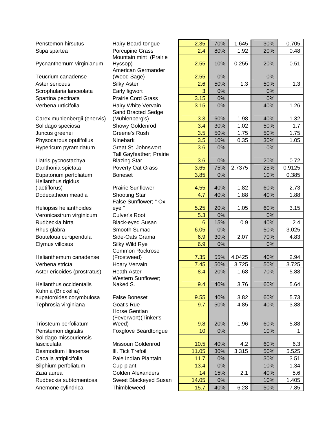| Penstemon hirsutus                           | Hairy Beard tongue                    | 2.35           | 70%   | 1.645  | 30% | 0.705  |
|----------------------------------------------|---------------------------------------|----------------|-------|--------|-----|--------|
| Stipa spartea                                | Porcupine Grass                       | 2.4            | 80%   | 1.92   | 20% | 0.48   |
| Pycnanthemum virginianum                     | Mountain mint (Prairie<br>Hyssop)     | 2.55           | 10%   | 0.255  | 20% | 0.51   |
|                                              | American Germander                    |                |       |        |     |        |
| Teucrium canadense                           | (Wood Sage)                           | 2.55           | 0%    |        | 0%  |        |
| Aster sericeus                               | <b>Silky Aster</b>                    | 2.6            | 50%   | 1.3    | 50% | 1.3    |
| Scrophularia lanceolata                      | Early figwort                         | 3              | 0%    |        | 0%  |        |
| Spartina pectinata                           | <b>Prairie Cord Grass</b>             | 3.15           | 0%    |        | 0%  |        |
| Verbena urticifolia                          | Hairy White Vervain                   | 3.15           | $0\%$ |        | 40% | 1.26   |
|                                              | Sand Bracted Sedge                    |                |       |        |     |        |
| Carex muhlenbergii (enervis)                 | (Muhlenberg's)                        | 3.3            | 60%   | 1.98   | 40% | 1.32   |
| Solidago speciosa                            | Showy Goldenrod                       | 3.4            | 30%   | 1.02   | 50% | 1.7    |
| Juncus greenei                               | Greene's Rush                         | 3.5            | 50%   | 1.75   | 50% | 1.75   |
| Physocarpus opulifolius                      | Ninebark                              | 3.5            | 10%   | 0.35   | 30% | 1.05   |
| Hypericum pyramidatum                        | Great St. Johnswort                   | 3.6            | $0\%$ |        | 0%  |        |
|                                              | Tall Gayfeather; Prairie              |                |       |        |     |        |
| Liatris pycnostachya                         | <b>Blazing Star</b>                   | 3.6            | 0%    |        | 20% | 0.72   |
| Danthonia spictata                           | Poverty Oat Grass                     | 3.65           | 75%   | 2.7375 | 25% | 0.9125 |
| Eupatorium perfoliatum<br>Helianthus rigidus | <b>Boneset</b>                        | 3.85           | 0%    |        | 10% | 0.385  |
| (laetiflorus)                                | <b>Prairie Sunflower</b>              | 4.55           | 40%   | 1.82   | 60% | 2.73   |
| Dodecatheon meadia                           | <b>Shooting Star</b>                  | 4.7            | 40%   | 1.88   | 40% | 1.88   |
|                                              | False Sunflower; " Ox-                |                |       |        |     |        |
| Heliopsis helianthoides                      | eye "                                 | 5.25           | 20%   | 1.05   | 60% | 3.15   |
| Veronicastrum virginicum                     | <b>Culver's Root</b>                  | 5.3            | 0%    |        | 0%  |        |
| Rudbeckia hirta                              | <b>Black-eyed Susan</b>               | $6\phantom{1}$ | 15%   | 0.9    | 40% | 2.4    |
| Rhus glabra                                  | Smooth Sumac                          | 6.05           | 0%    |        | 50% | 3.025  |
| Bouteloua curtipendula                       | Side-Oats Grama                       | 6.9            | 30%   | 2.07   | 70% | 4.83   |
| Elymus villosus                              | Silky Wild Rye                        | 6.9            | 0%    |        | 0%  |        |
| Helianthemum canadense                       | <b>Common Rockrose</b><br>(Frostweed) | 7.35           | 55%   | 4.0425 | 40% | 2.94   |
| Verbena stricta                              | Hoary Vervain                         | 7.45           | 50%   | 3.725  | 50% | 3.725  |
| Aster ericoides (prostratus)                 | <b>Heath Aster</b>                    | 8.4            | 20%   | 1.68   | 70% | 5.88   |
| Helianthus occidentalis                      | <b>Western Sunflower;</b><br>Naked S. | 9.4            | 40%   | 3.76   | 60% | 5.64   |
| Kuhnia (Brickellia)                          |                                       |                |       |        |     |        |
| eupatoroides corymbulosa                     | <b>False Boneset</b>                  | 9.55           | 40%   | 3.82   | 60% | 5.73   |
| Tephrosia virginiana                         | Goat's Rue                            | 9.7            | 50%   | 4.85   | 40% | 3.88   |
|                                              | Horse Gentian                         |                |       |        |     |        |
|                                              | (Feverwort) (Tinker's                 |                | 20%   | 1.96   | 60% |        |
| Triosteum perfoliatum<br>Penstemon digitalis | Weed)<br>Foxglove Beardtongue         | 9.8<br>10      | 0%    |        | 10% | 5.88   |
| Solidago missouriensis                       |                                       |                |       |        |     | 1      |
| fasciculata                                  | Missouri Goldenrod                    | 10.5           | 40%   | 4.2    | 60% | 6.3    |
| Desmodium illinoense                         | III. Tick Trefoil                     | 11.05          | 30%   | 3.315  | 50% | 5.525  |
| Cacalia atriplicifolia                       | Pale Indian Plantain                  | 11.7           | 0%    |        | 30% | 3.51   |
| Silphium perfoliatum                         | Cup-plant                             | 13.4           | 0%    |        | 10% | 1.34   |
| Zizia aurea                                  | <b>Golden Alexanders</b>              | 14             | 15%   | 2.1    | 40% | 5.6    |
| Rudbeckia subtomentosa                       | Sweet Blackeyed Susan                 | 14.05          | 0%    |        | 10% | 1.405  |
| Anemone cylindrica                           | Thimbleweed                           | 15.7           | 40%   | 6.28   | 50% | 7.85   |
|                                              |                                       |                |       |        |     |        |

| Hairy Beard tongue        | 2.35  | 70%   | 1.645  | 30%   | 0.705  |
|---------------------------|-------|-------|--------|-------|--------|
| Porcupine Grass           | 2.4   | 80%   | 1.92   | 20%   | 0.48   |
| Mountain mint (Prairie    |       |       |        |       |        |
| Hyssop)                   | 2.55  | 10%   | 0.255  | 20%   | 0.51   |
| American Germander        |       |       |        |       |        |
| (Wood Sage)               | 2.55  | 0%    |        | 0%    |        |
| <b>Silky Aster</b>        | 2.6   | 50%   | 1.3    | 50%   | 1.3    |
| Early figwort             | 3     | 0%    |        | 0%    |        |
| <b>Prairie Cord Grass</b> | 3.15  | 0%    |        | $0\%$ |        |
| Hairy White Vervain       | 3.15  | $0\%$ |        | 40%   | 1.26   |
| Sand Bracted Sedge        |       |       |        |       |        |
| (Muhlenberg's)            | 3.3   | 60%   | 1.98   | 40%   | 1.32   |
| Showy Goldenrod           | 3.4   | 30%   | 1.02   | 50%   | 1.7    |
| Greene's Rush             | 3.5   | 50%   | 1.75   | 50%   | 1.75   |
| <b>Ninebark</b>           | 3.5   | 10%   | 0.35   | 30%   | 1.05   |
| Great St. Johnswort       | 3.6   | 0%    |        | 0%    |        |
| Tall Gayfeather; Prairie  |       |       |        |       |        |
| <b>Blazing Star</b>       | 3.6   | 0%    |        | 20%   | 0.72   |
| Poverty Oat Grass         | 3.65  | 75%   | 2.7375 | 25%   | 0.9125 |
| Boneset                   | 3.85  | $0\%$ |        | 10%   | 0.385  |
| <b>Prairie Sunflower</b>  | 4.55  | 40%   | 1.82   | 60%   | 2.73   |
| <b>Shooting Star</b>      | 4.7   | 40%   | 1.88   | 40%   | 1.88   |
| False Sunflower; " Ox-    |       |       |        |       |        |
| eye "                     | 5.25  | 20%   | 1.05   | 60%   | 3.15   |
| Culver's Root             | 5.3   | 0%    |        | $0\%$ |        |
| <b>Black-eyed Susan</b>   | 6     | 15%   | 0.9    | 40%   | 2.4    |
| Smooth Sumac              | 6.05  | 0%    |        | 50%   | 3.025  |
| Side-Oats Grama           | 6.9   | 30%   | 2.07   | 70%   | 4.83   |
| Silky Wild Rye            | 6.9   | $0\%$ |        | $0\%$ |        |
| Common Rockrose           |       |       |        |       |        |
| (Frostweed)               | 7.35  | 55%   | 4.0425 | 40%   | 2.94   |
| Hoary Vervain             | 7.45  | 50%   | 3.725  | 50%   | 3.725  |
| <b>Heath Aster</b>        | 8.4   | 20%   | 1.68   | 70%   | 5.88   |
| Western Sunflower;        |       |       |        |       |        |
| Naked S.                  | 9.4   | 40%   | 3.76   | 60%   | 5.64   |
|                           |       |       |        |       |        |
| <b>False Boneset</b>      | 9.55  | 40%   | 3.82   | 60%   | 5.73   |
| Goat's Rue                | 9.7   | 50%   | 4.85   | 40%   | 3.88   |
| Horse Gentian             |       |       |        |       |        |
| (Feverwort)(Tinker's      |       |       |        |       |        |
| Weed)                     | 9.8   | 20%   | 1.96   | 60%   | 5.88   |
| Foxglove Beardtongue      | 10    | $0\%$ |        | 10%   | 1      |
| Missouri Goldenrod        | 10.5  | 40%   | 4.2    | 60%   | 6.3    |
| III. Tick Trefoil         | 11.05 | 30%   | 3.315  | 50%   | 5.525  |
| Pale Indian Plantain      | 11.7  | $0\%$ |        | 30%   | 3.51   |
| Cup-plant                 | 13.4  | 0%    |        | 10%   | 1.34   |
| Golden Alexanders         |       |       | 2.1    |       |        |
|                           | 14    | 15%   |        | 40%   | 5.6    |
| Sweet Blackeyed Susan     | 14.05 | $0\%$ |        | 10%   | 1.405  |
| Thimbleweed               | 15.7  | 40%   | 6.28   | 50%   | 7.85   |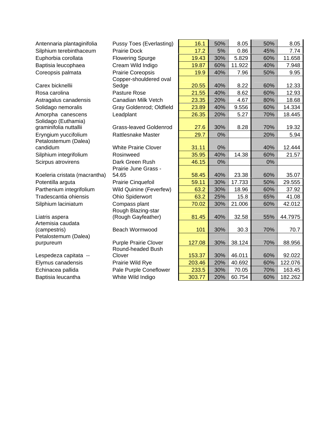| Antennaria plantaginifolia    | <b>Pussy Toes (Everlasting)</b> | 16.1   | 50% | 8.05   | 50% | 8.05    |
|-------------------------------|---------------------------------|--------|-----|--------|-----|---------|
| Silphium terebinthaceum       | <b>Prairie Dock</b>             | 17.2   | 5%  | 0.86   | 45% | 7.74    |
| Euphorbia corollata           | <b>Flowering Spurge</b>         | 19.43  | 30% | 5.829  | 60% | 11.658  |
| Baptisia leucophaea           | Cream Wild Indigo               | 19.87  | 60% | 11.922 | 40% | 7.948   |
| Coreopsis palmata             | Prairie Coreopsis               | 19.9   | 40% | 7.96   | 50% | 9.95    |
|                               | Copper-shouldered oval          |        |     |        |     |         |
| Carex bicknellii              | Sedge                           | 20.55  | 40% | 8.22   | 60% | 12.33   |
| Rosa carolina                 | Pasture Rose                    | 21.55  | 40% | 8.62   | 60% | 12.93   |
| Astragalus canadensis         | Canadian Milk Vetch             | 23.35  | 20% | 4.67   | 80% | 18.68   |
| Solidago nemoralis            | Gray Goldenrod; Oldfield        | 23.89  | 40% | 9.556  | 60% | 14.334  |
| Amorpha canescens             | Leadplant                       | 26.35  | 20% | 5.27   | 70% | 18.445  |
| Solidago (Euthamia)           |                                 |        |     |        |     |         |
| graminifolia nuttallii        | Grass-leaved Goldenrod          | 27.6   | 30% | 8.28   | 70% | 19.32   |
| Eryngium yuccifolium          | <b>Rattlesnake Master</b>       | 29.7   | 0%  |        | 20% | 5.94    |
| Petalostemum (Dalea)          |                                 |        |     |        |     |         |
| candidum                      | <b>White Prairie Clover</b>     | 31.11  | 0%  |        | 40% | 12.444  |
| Silphium integrifolium        | Rosinweed                       | 35.95  | 40% | 14.38  | 60% | 21.57   |
| Scirpus atrovirens            | Dark Green Rush                 | 46.15  | 0%  |        | 0%  |         |
| Koeleria cristata (macrantha) | Prairie June Grass -<br>54.65   | 58.45  | 40% | 23.38  | 60% | 35.07   |
| Potentilla arguta             | Prairie Cinquefoil              | 59.11  | 30% | 17.733 | 50% | 29.555  |
| Parthenium integrifolium      | Wild Quinine (Feverfew)         | 63.2   | 30% | 18.96  | 60% | 37.92   |
| Tradescantia ohiensis         | Ohio Spiderwort                 | 63.2   | 25% | 15.8   | 65% | 41.08   |
|                               | Compass plant                   | 70.02  | 30% | 21.006 | 60% | 42.012  |
| Silphium laciniatum           | Rough Blazing-star              |        |     |        |     |         |
| Liatris aspera                | (Rough Gayfeather)              | 81.45  | 40% | 32.58  | 55% | 44.7975 |
| Artemisia caudata             |                                 |        |     |        |     |         |
| (campestris)                  | Beach Wormwood                  | 101    | 30% | 30.3   | 70% | 70.7    |
| Petalostemum (Dalea)          |                                 |        |     |        |     |         |
| purpureum                     | <b>Purple Prairie Clover</b>    | 127.08 | 30% | 38.124 | 70% | 88.956  |
|                               | Round-headed Bush               |        |     |        |     |         |
| Lespedeza capitata --         | Clover                          | 153.37 | 30% | 46.011 | 60% | 92.022  |
| Elymus canadensis             | Prairie Wild Rye                | 203.46 | 20% | 40.692 | 60% | 122.076 |
| Echinacea pallida             | Pale Purple Coneflower          | 233.5  | 30% | 70.05  | 70% | 163.45  |
| Baptisia leucantha            | White Wild Indigo               | 303.77 | 20% | 60.754 | 60% | 182.262 |
|                               |                                 |        |     |        |     |         |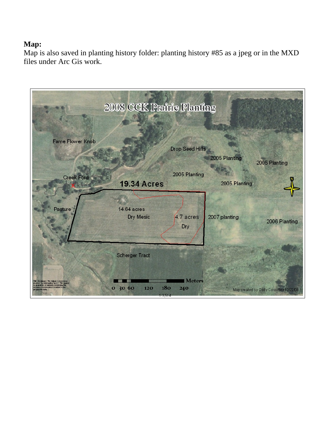### **Map:**

Map is also saved in planting history folder: planting history #85 as a jpeg or in the MXD files under Arc Gis work.

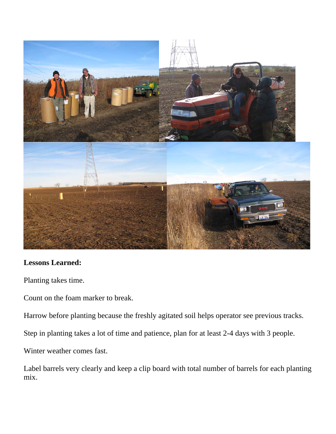

#### **Lessons Learned:**

Planting takes time.

Count on the foam marker to break.

Harrow before planting because the freshly agitated soil helps operator see previous tracks.

Step in planting takes a lot of time and patience, plan for at least 2-4 days with 3 people.

Winter weather comes fast.

Label barrels very clearly and keep a clip board with total number of barrels for each planting mix.